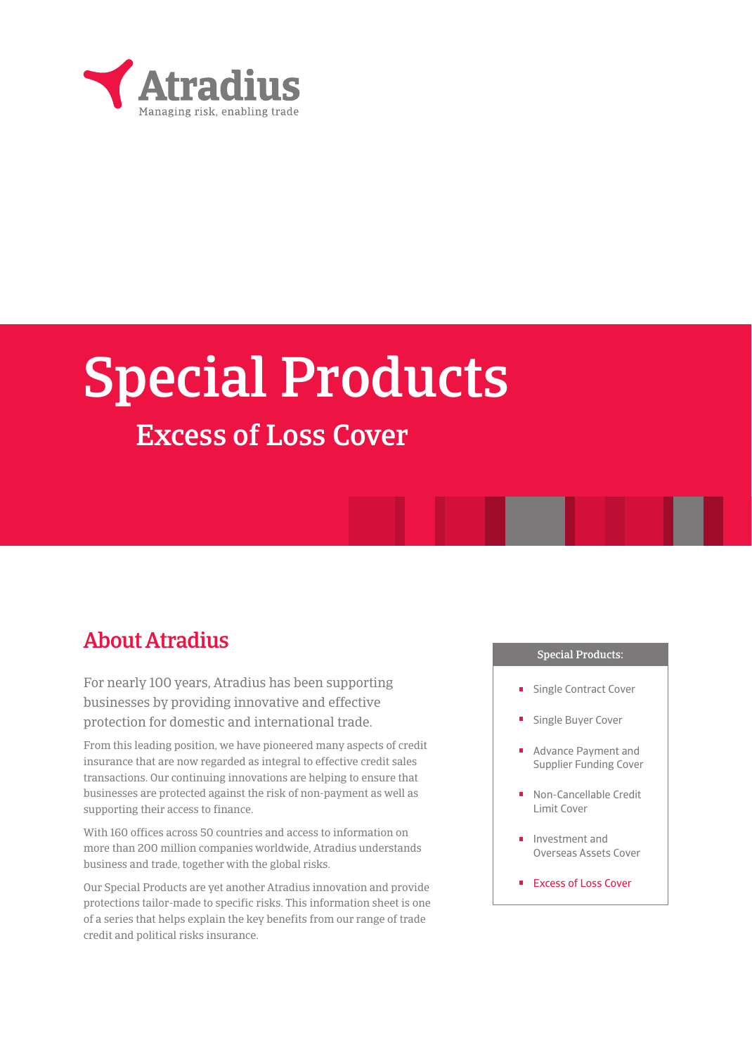

# Special Products

## Excess of Loss Cover

## About Atradius

For nearly 100 years, Atradius has been supporting businesses by providing innovative and effective protection for domestic and international trade.

From this leading position, we have pioneered many aspects of credit insurance that are now regarded as integral to effective credit sales transactions. Our continuing innovations are helping to ensure that businesses are protected against the risk of non-payment as well as supporting their access to finance.

With 160 offices across 50 countries and access to information on more than 200 million companies worldwide, Atradius understands business and trade, together with the global risks.

Our Special Products are yet another Atradius innovation and provide protections tailor-made to specific risks. This information sheet is one of a series that helps explain the key benefits from our range of trade credit and political risks insurance.

#### Special Products:

- Single Contract Cover
- Single Buyer Cover
- Advance Payment and Supplier Funding Cover
- Non-Cancellable Credit Limit Cover
- Investment and Overseas Assets Cover
- Excess of Loss Cover